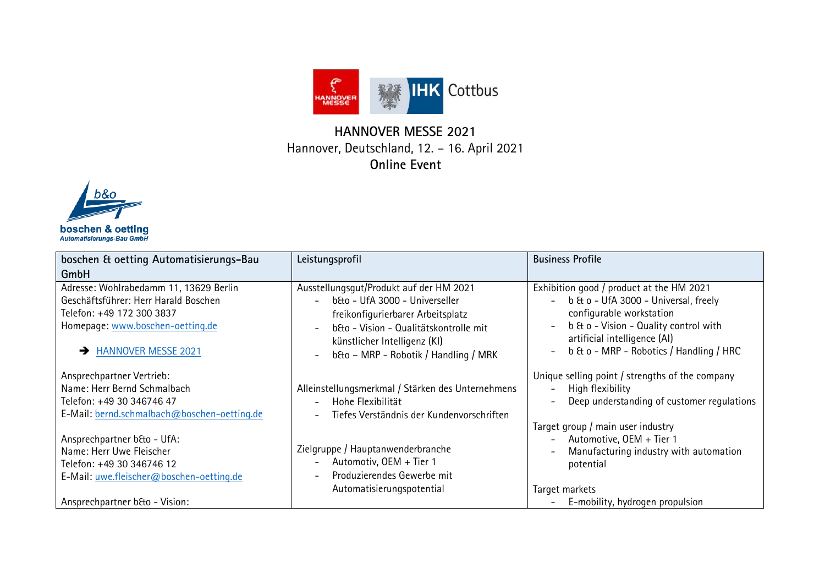

## **HANNOVER MESSE 2021** Hannover, Deutschland, 12. – 16. April 2021 **Online Event**



| boschen & oetting Automatisierungs-Bau<br>GmbH                                                                                                                           | Leistungsprofil                                                                                                                                                                                                                                                                                          | <b>Business Profile</b>                                                                                                                                                                                                                                        |
|--------------------------------------------------------------------------------------------------------------------------------------------------------------------------|----------------------------------------------------------------------------------------------------------------------------------------------------------------------------------------------------------------------------------------------------------------------------------------------------------|----------------------------------------------------------------------------------------------------------------------------------------------------------------------------------------------------------------------------------------------------------------|
| Adresse: Wohlrabedamm 11, 13629 Berlin<br>Geschäftsführer: Herr Harald Boschen<br>Telefon: +49 172 300 3837<br>Homepage: www.boschen-oetting.de<br>A HANNOVER MESSE 2021 | Ausstellungsgut/Produkt auf der HM 2021<br>b&o - UfA 3000 - Universeller<br>$\overline{a}$<br>freikonfigurierbarer Arbeitsplatz<br>b&o - Vision - Qualitätskontrolle mit<br>$\overline{\phantom{a}}$<br>künstlicher Intelligenz (KI)<br>b&o - MRP - Robotik / Handling / MRK<br>$\overline{\phantom{a}}$ | Exhibition good / product at the HM 2021<br>- b & o - UfA 3000 - Universal, freely<br>configurable workstation<br>b & o - Vision - Quality control with<br>artificial intelligence (AI)<br>b & o - MRP - Robotics / Handling / HRC<br>$\overline{\phantom{a}}$ |
| Ansprechpartner Vertrieb:<br>Name: Herr Bernd Schmalbach<br>Telefon: +49 30 346746 47<br>E-Mail: bernd.schmalbach@boschen-oetting.de                                     | Alleinstellungsmerkmal / Stärken des Unternehmens<br>Hohe Flexibilität<br>$\overline{\phantom{a}}$<br>Tiefes Verständnis der Kundenvorschriften<br>$\overline{\phantom{a}}$                                                                                                                              | Unique selling point / strengths of the company<br>High flexibility<br>$\overline{\phantom{0}}$<br>Deep understanding of customer regulations<br>$\qquad \qquad -$                                                                                             |
| Ansprechpartner b&o - UfA:<br>Name: Herr Uwe Fleischer<br>Telefon: +49 30 346746 12<br>E-Mail: uwe.fleischer@boschen-oetting.de                                          | Zielgruppe / Hauptanwenderbranche<br>Automotiv, OEM + Tier 1<br>$\qquad \qquad -$<br>Produzierendes Gewerbe mit<br>$\overline{\phantom{0}}$                                                                                                                                                              | Target group / main user industry<br>Automotive, OEM + Tier 1<br>$\overline{\phantom{a}}$<br>Manufacturing industry with automation<br>potential                                                                                                               |
| Ansprechpartner b&o - Vision:                                                                                                                                            | Automatisierungspotential                                                                                                                                                                                                                                                                                | Target markets<br>E-mobility, hydrogen propulsion                                                                                                                                                                                                              |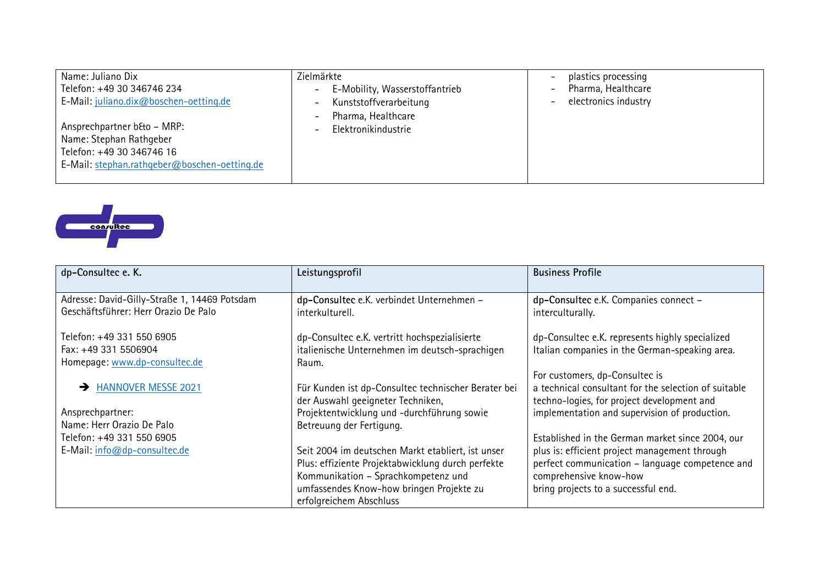| Name: Juliano Dix<br>Telefon: +49 30 346746 234<br>E-Mail: juliano.dix@boschen-oetting.de                                          | Zielmärkte<br>E-Mobility, Wasserstoffantrieb<br>$-$<br>Kunststoffverarbeitung<br>$\overline{\phantom{0}}$<br>Pharma, Healthcare | plastics processing<br>Pharma, Healthcare<br>electronics industry |
|------------------------------------------------------------------------------------------------------------------------------------|---------------------------------------------------------------------------------------------------------------------------------|-------------------------------------------------------------------|
| Ansprechpartner b&o - MRP:<br>Name: Stephan Rathgeber<br>Telefon: +49 30 346746 16<br>E-Mail: stephan.rathgeber@boschen-oetting.de | $\overline{\phantom{a}}$<br>Elektronikindustrie<br>$\overline{\phantom{a}}$                                                     |                                                                   |



| dp-Consultec e. K.                           | Leistungsprofil                                                                          | <b>Business Profile</b>                                                                                                              |
|----------------------------------------------|------------------------------------------------------------------------------------------|--------------------------------------------------------------------------------------------------------------------------------------|
| Adresse: David-Gilly-Straße 1, 14469 Potsdam | dp-Consultec e.K. verbindet Unternehmen -                                                | dp-Consultec e.K. Companies connect -                                                                                                |
| Geschäftsführer: Herr Orazio De Palo         | interkulturell.                                                                          | interculturally.                                                                                                                     |
| Telefon: +49 331 550 6905                    | dp-Consultec e.K. vertritt hochspezialisierte                                            | dp-Consultec e.K. represents highly specialized                                                                                      |
| Fax: +49 331 5506904                         | italienische Unternehmen im deutsch-sprachigen                                           | Italian companies in the German-speaking area.                                                                                       |
| Homepage: www.dp-consultec.de                | Raum.                                                                                    |                                                                                                                                      |
| <b>HANNOVER MESSE 2021</b>                   | Für Kunden ist dp-Consultec technischer Berater bei<br>der Auswahl geeigneter Techniken, | For customers, dp-Consultec is<br>a technical consultant for the selection of suitable<br>techno-logies, for project development and |
| Ansprechpartner:                             | Projektentwicklung und -durchführung sowie                                               | implementation and supervision of production.                                                                                        |
| Name: Herr Orazio De Palo                    | Betreuung der Fertigung.                                                                 |                                                                                                                                      |
| Telefon: +49 331 550 6905                    |                                                                                          | Established in the German market since 2004, our                                                                                     |
| E-Mail: info@dp-consultec.de                 | Seit 2004 im deutschen Markt etabliert, ist unser                                        | plus is: efficient project management through                                                                                        |
|                                              | Plus: effiziente Projektabwicklung durch perfekte                                        | perfect communication - language competence and                                                                                      |
|                                              | Kommunikation - Sprachkompetenz und                                                      | comprehensive know-how                                                                                                               |
|                                              | umfassendes Know-how bringen Projekte zu                                                 | bring projects to a successful end.                                                                                                  |
|                                              | erfolgreichem Abschluss                                                                  |                                                                                                                                      |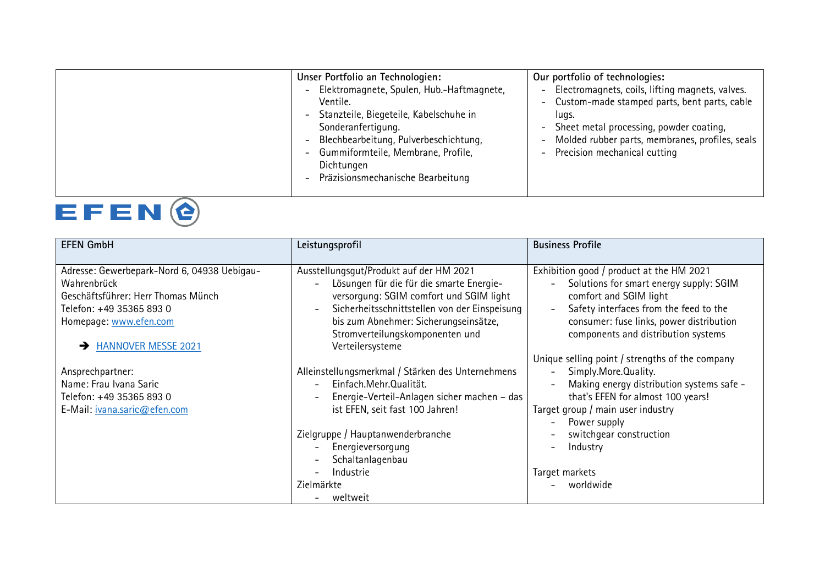| Elektromagnete, Spulen, Hub.-Haftmagnete,<br>Electromagnets, coils, lifting magnets, valves.<br>$\overline{\phantom{0}}$<br>Custom-made stamped parts, bent parts, cable<br>Ventile.<br>- Stanzteile, Biegeteile, Kabelschuhe in<br>lugs.<br>Sonderanfertigung.<br>Sheet metal processing, powder coating,<br>Molded rubber parts, membranes, profiles, seals<br>Blechbearbeitung, Pulverbeschichtung,<br>$-$<br>Gummiformteile, Membrane, Profile,<br>Precision mechanical cutting<br>$-$<br>Dichtungen |
|----------------------------------------------------------------------------------------------------------------------------------------------------------------------------------------------------------------------------------------------------------------------------------------------------------------------------------------------------------------------------------------------------------------------------------------------------------------------------------------------------------|
|----------------------------------------------------------------------------------------------------------------------------------------------------------------------------------------------------------------------------------------------------------------------------------------------------------------------------------------------------------------------------------------------------------------------------------------------------------------------------------------------------------|



| <b>EFEN GmbH</b>                            | Leistungsprofil                                                           | <b>Business Profile</b>                                                         |
|---------------------------------------------|---------------------------------------------------------------------------|---------------------------------------------------------------------------------|
| Adresse: Gewerbepark-Nord 6, 04938 Uebigau- | Ausstellungsgut/Produkt auf der HM 2021                                   | Exhibition good / product at the HM 2021                                        |
| Wahrenbrück                                 | Lösungen für die für die smarte Energie-                                  | Solutions for smart energy supply: SGIM<br>$\overline{\phantom{0}}$             |
| Geschäftsführer: Herr Thomas Münch          | versorgung: SGIM comfort und SGIM light                                   | comfort and SGIM light                                                          |
| Telefon: +49 35365 893 0                    | Sicherheitsschnittstellen von der Einspeisung<br>$\overline{\phantom{0}}$ | Safety interfaces from the feed to the<br>$\overline{\phantom{a}}$              |
| Homepage: www.efen.com                      | bis zum Abnehmer: Sicherungseinsätze,<br>Stromverteilungskomponenten und  | consumer: fuse links, power distribution<br>components and distribution systems |
| <b>HANNOVER MESSE 2021</b>                  | Verteilersysteme                                                          |                                                                                 |
|                                             |                                                                           | Unique selling point / strengths of the company                                 |
| Ansprechpartner:                            | Alleinstellungsmerkmal / Stärken des Unternehmens                         | Simply.More.Quality.                                                            |
| Name: Frau Ivana Saric                      | Einfach.Mehr.Qualität.                                                    | Making energy distribution systems safe -                                       |
| Telefon: +49 35365 893 0                    | Energie-Verteil-Anlagen sicher machen - das                               | that's EFEN for almost 100 years!                                               |
| E-Mail: ivana.saric@efen.com                | ist EFEN, seit fast 100 Jahren!                                           | Target group / main user industry                                               |
|                                             |                                                                           | Power supply                                                                    |
|                                             | Zielgruppe / Hauptanwenderbranche                                         | switchgear construction                                                         |
|                                             | Energieversorgung                                                         | Industry                                                                        |
|                                             | Schaltanlagenbau                                                          |                                                                                 |
|                                             | Industrie                                                                 | Target markets                                                                  |
|                                             | Zielmärkte                                                                | worldwide                                                                       |
|                                             | weltweit                                                                  |                                                                                 |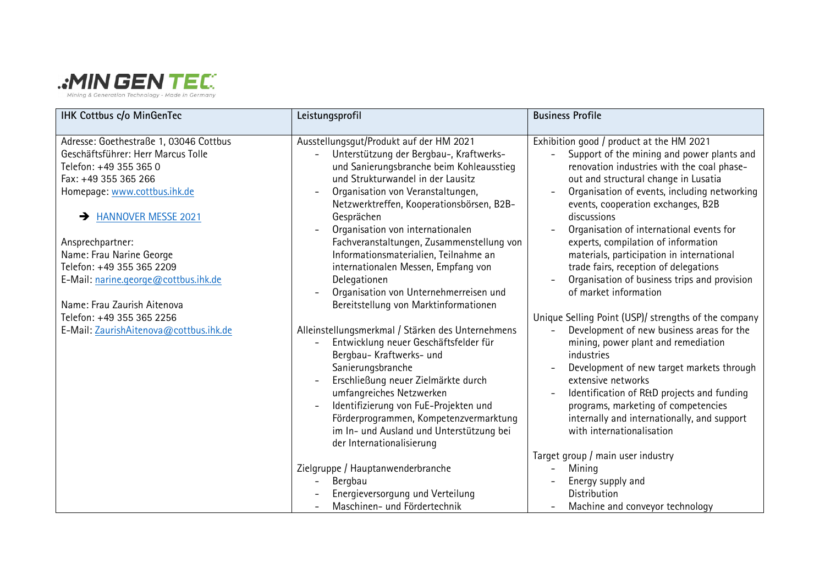

| <b>IHK Cottbus c/o MinGenTec</b>                                                                                                                                                        | Leistungsprofil                                                                                                                                                                                                                                                                                                                                                           | <b>Business Profile</b>                                                                                                                                                                                                                                                                                                                                        |
|-----------------------------------------------------------------------------------------------------------------------------------------------------------------------------------------|---------------------------------------------------------------------------------------------------------------------------------------------------------------------------------------------------------------------------------------------------------------------------------------------------------------------------------------------------------------------------|----------------------------------------------------------------------------------------------------------------------------------------------------------------------------------------------------------------------------------------------------------------------------------------------------------------------------------------------------------------|
| Adresse: Goethestraße 1, 03046 Cottbus<br>Geschäftsführer: Herr Marcus Tolle<br>Telefon: +49 355 365 0<br>Fax: +49 355 365 266<br>Homepage: www.cottbus.ihk.de<br>A HANNOVER MESSE 2021 | Ausstellungsgut/Produkt auf der HM 2021<br>Unterstützung der Bergbau-, Kraftwerks-<br>und Sanierungsbranche beim Kohleausstieg<br>und Strukturwandel in der Lausitz<br>Organisation von Veranstaltungen,<br>Netzwerktreffen, Kooperationsbörsen, B2B-<br>Gesprächen                                                                                                       | Exhibition good / product at the HM 2021<br>Support of the mining and power plants and<br>renovation industries with the coal phase-<br>out and structural change in Lusatia<br>Organisation of events, including networking<br>events, cooperation exchanges, B2B<br>discussions                                                                              |
| Ansprechpartner:<br>Name: Frau Narine George<br>Telefon: +49 355 365 2209<br>E-Mail: narine.george@cottbus.ihk.de<br>Name: Frau Zaurish Aitenova<br>Telefon: +49 355 365 2256           | Organisation von internationalen<br>Fachveranstaltungen, Zusammenstellung von<br>Informationsmaterialien, Teilnahme an<br>internationalen Messen, Empfang von<br>Delegationen<br>Organisation von Unternehmerreisen und<br>Bereitstellung von Marktinformationen                                                                                                          | Organisation of international events for<br>experts, compilation of information<br>materials, participation in international<br>trade fairs, reception of delegations<br>Organisation of business trips and provision<br>of market information<br>Unique Selling Point (USP)/ strengths of the company                                                         |
| E-Mail: ZaurishAitenova@cottbus.ihk.de                                                                                                                                                  | Alleinstellungsmerkmal / Stärken des Unternehmens<br>Entwicklung neuer Geschäftsfelder für<br>Bergbau-Kraftwerks- und<br>Sanierungsbranche<br>Erschließung neuer Zielmärkte durch<br>umfangreiches Netzwerken<br>Identifizierung von FuE-Projekten und<br>Förderprogrammen, Kompetenzvermarktung<br>im In- und Ausland und Unterstützung bei<br>der Internationalisierung | Development of new business areas for the<br>$\overline{\phantom{a}}$<br>mining, power plant and remediation<br>industries<br>Development of new target markets through<br>extensive networks<br>Identification of R&D projects and funding<br>programs, marketing of competencies<br>internally and internationally, and support<br>with internationalisation |
|                                                                                                                                                                                         | Zielgruppe / Hauptanwenderbranche<br>Bergbau<br>Energieversorgung und Verteilung<br>Maschinen- und Fördertechnik                                                                                                                                                                                                                                                          | Target group / main user industry<br>Mining<br>Energy supply and<br>Distribution<br>Machine and conveyor technology                                                                                                                                                                                                                                            |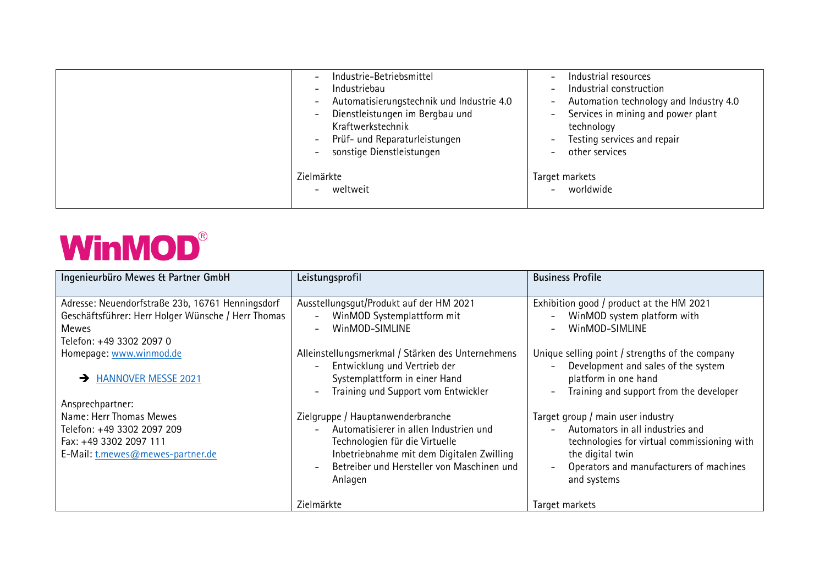| Industrie-Betriebsmittel<br>$\overline{\phantom{0}}$<br>Industriebau<br>$\overline{\phantom{a}}$<br>Automatisierungstechnik und Industrie 4.0<br>$\overline{\phantom{0}}$<br>Dienstleistungen im Bergbau und<br>$\overline{\phantom{0}}$<br>Kraftwerkstechnik<br>Prüf- und Reparaturleistungen<br>$\overline{\phantom{a}}$<br>sonstige Dienstleistungen | Industrial resources<br>$\qquad \qquad$<br>Industrial construction<br>$\overline{\phantom{a}}$<br>Automation technology and Industry 4.0<br>$\overline{\phantom{0}}$<br>Services in mining and power plant<br>$ \,$<br>technology<br>Testing services and repair<br>$-$<br>other services |
|---------------------------------------------------------------------------------------------------------------------------------------------------------------------------------------------------------------------------------------------------------------------------------------------------------------------------------------------------------|-------------------------------------------------------------------------------------------------------------------------------------------------------------------------------------------------------------------------------------------------------------------------------------------|
| Zielmärkte<br>weltweit<br>$\overline{\phantom{a}}$                                                                                                                                                                                                                                                                                                      | Target markets<br>worldwide                                                                                                                                                                                                                                                               |

## **WinMOD®**

| Ingenieurbüro Mewes & Partner GmbH                          | Leistungsprofil                                                                                                                                    | <b>Business Profile</b>                                                                                                            |
|-------------------------------------------------------------|----------------------------------------------------------------------------------------------------------------------------------------------------|------------------------------------------------------------------------------------------------------------------------------------|
| Adresse: Neuendorfstraße 23b, 16761 Henningsdorf            | Ausstellungsgut/Produkt auf der HM 2021                                                                                                            | Exhibition good / product at the HM 2021                                                                                           |
| Geschäftsführer: Herr Holger Wünsche / Herr Thomas<br>Mewes | WinMOD Systemplattform mit<br>$\overline{a}$<br>WinMOD-SIMLINE<br>$\overline{\phantom{0}}$                                                         | WinMOD system platform with<br>$\overline{\phantom{0}}$<br>WinMOD-SIMLINE<br>$\overline{\phantom{a}}$                              |
| Telefon: +49 3302 2097 0                                    |                                                                                                                                                    |                                                                                                                                    |
| Homepage: www.winmod.de                                     | Alleinstellungsmerkmal / Stärken des Unternehmens                                                                                                  | Unique selling point / strengths of the company                                                                                    |
| <b>HANNOVER MESSE 2021</b>                                  | Entwicklung und Vertrieb der<br>$\overline{a}$<br>Systemplattform in einer Hand<br>Training und Support vom Entwickler<br>$\overline{\phantom{0}}$ | Development and sales of the system<br>platform in one hand<br>Training and support from the developer<br>$\overline{\phantom{a}}$ |
| Ansprechpartner:                                            |                                                                                                                                                    |                                                                                                                                    |
| Name: Herr Thomas Mewes                                     | Zielgruppe / Hauptanwenderbranche                                                                                                                  | Target group / main user industry                                                                                                  |
| Telefon: +49 3302 2097 209                                  | Automatisierer in allen Industrien und<br>$\overline{a}$                                                                                           | Automators in all industries and<br>$\overline{\phantom{0}}$                                                                       |
| Fax: +49 3302 2097 111                                      | Technologien für die Virtuelle                                                                                                                     | technologies for virtual commissioning with                                                                                        |
| E-Mail: t.mewes@mewes-partner.de                            | Inbetriebnahme mit dem Digitalen Zwilling                                                                                                          | the digital twin                                                                                                                   |
|                                                             | Betreiber und Hersteller von Maschinen und<br>Anlagen                                                                                              | Operators and manufacturers of machines<br>and systems                                                                             |
|                                                             |                                                                                                                                                    |                                                                                                                                    |
|                                                             | Zielmärkte                                                                                                                                         | Target markets                                                                                                                     |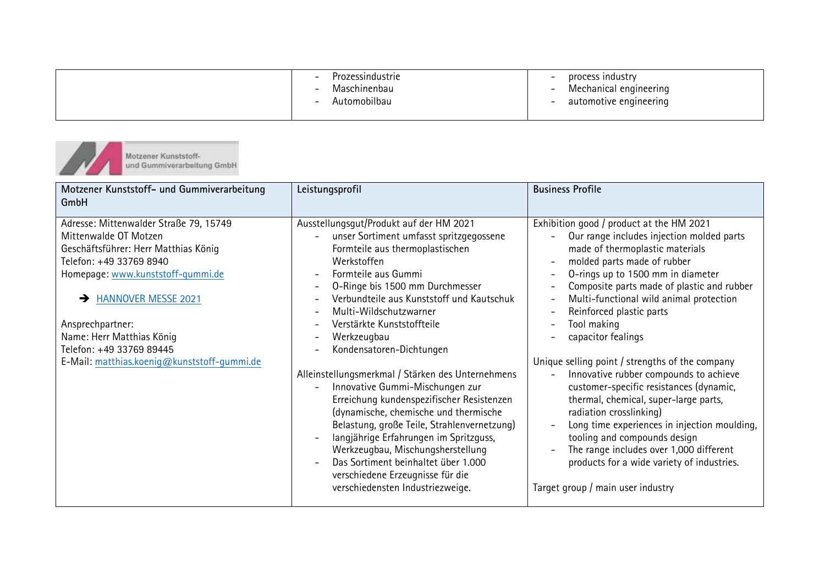|  |  | Prozessindustrie<br>$\overline{\phantom{0}}$<br>Maschinenbau<br>Automobilbau | process industry<br>Mechanical engineering<br>automotive engineering |
|--|--|------------------------------------------------------------------------------|----------------------------------------------------------------------|
|--|--|------------------------------------------------------------------------------|----------------------------------------------------------------------|

Motzener Kunststoff-<br>und Gummiverarbeitung GmbH  $J_{\mathcal{A}}$ 

| Motzener Kunststoff- und Gummiverarbeitung<br>GmbH                                                                                                                                                                                                                                                                                                 | Leistungsprofil                                                                                                                                                                                                                                                                                                                                                                                                                                                                                                                                                                                                                                                                                                                                                                                                                                                                                                                                                     | <b>Business Profile</b>                                                                                                                                                                                                                                                                                                                                                                                                                                                                                                                                                                                                                                                                                                                                                                                                                                                                                                                           |
|----------------------------------------------------------------------------------------------------------------------------------------------------------------------------------------------------------------------------------------------------------------------------------------------------------------------------------------------------|---------------------------------------------------------------------------------------------------------------------------------------------------------------------------------------------------------------------------------------------------------------------------------------------------------------------------------------------------------------------------------------------------------------------------------------------------------------------------------------------------------------------------------------------------------------------------------------------------------------------------------------------------------------------------------------------------------------------------------------------------------------------------------------------------------------------------------------------------------------------------------------------------------------------------------------------------------------------|---------------------------------------------------------------------------------------------------------------------------------------------------------------------------------------------------------------------------------------------------------------------------------------------------------------------------------------------------------------------------------------------------------------------------------------------------------------------------------------------------------------------------------------------------------------------------------------------------------------------------------------------------------------------------------------------------------------------------------------------------------------------------------------------------------------------------------------------------------------------------------------------------------------------------------------------------|
| Adresse: Mittenwalder Straße 79, 15749<br>Mittenwalde OT Motzen<br>Geschäftsführer: Herr Matthias König<br>Telefon: +49 33769 8940<br>Homepage: www.kunststoff-gummi.de<br><b>HANNOVER MESSE 2021</b><br>$\rightarrow$<br>Ansprechpartner:<br>Name: Herr Matthias König<br>Telefon: +49 33769 89445<br>E-Mail: matthias.koenig@kunststoff-gummi.de | Ausstellungsgut/Produkt auf der HM 2021<br>unser Sortiment umfasst spritzgegossene<br>Formteile aus thermoplastischen<br>Werkstoffen<br>Formteile aus Gummi<br>$\overline{\phantom{0}}$<br>O-Ringe bis 1500 mm Durchmesser<br>$\overline{\phantom{a}}$<br>Verbundteile aus Kunststoff und Kautschuk<br>$\overline{\phantom{0}}$<br>Multi-Wildschutzwarner<br>$\overline{\phantom{0}}$<br>Verstärkte Kunststoffteile<br>$\overline{\phantom{a}}$<br>Werkzeugbau<br>$\overline{a}$<br>Kondensatoren-Dichtungen<br>Alleinstellungsmerkmal / Stärken des Unternehmens<br>Innovative Gummi-Mischungen zur<br>$\overline{\phantom{0}}$<br>Erreichung kundenspezifischer Resistenzen<br>(dynamische, chemische und thermische<br>Belastung, große Teile, Strahlenvernetzung)<br>langjährige Erfahrungen im Spritzguss,<br>Werkzeugbau, Mischungsherstellung<br>Das Sortiment beinhaltet über 1.000<br>verschiedene Erzeugnisse für die<br>verschiedensten Industriezweige. | Exhibition good / product at the HM 2021<br>Our range includes injection molded parts<br>made of thermoplastic materials<br>molded parts made of rubber<br>$\overline{\phantom{a}}$<br>O-rings up to 1500 mm in diameter<br>$\overline{\phantom{a}}$<br>Composite parts made of plastic and rubber<br>$\overline{\phantom{a}}$<br>Multi-functional wild animal protection<br>$\qquad \qquad -$<br>Reinforced plastic parts<br>$\overline{\phantom{a}}$<br>Tool making<br>$\overline{\phantom{0}}$<br>capacitor fealings<br>Unique selling point / strengths of the company<br>Innovative rubber compounds to achieve<br>customer-specific resistances (dynamic,<br>thermal, chemical, super-large parts,<br>radiation crosslinking)<br>Long time experiences in injection moulding,<br>tooling and compounds design<br>The range includes over 1,000 different<br>products for a wide variety of industries.<br>Target group / main user industry |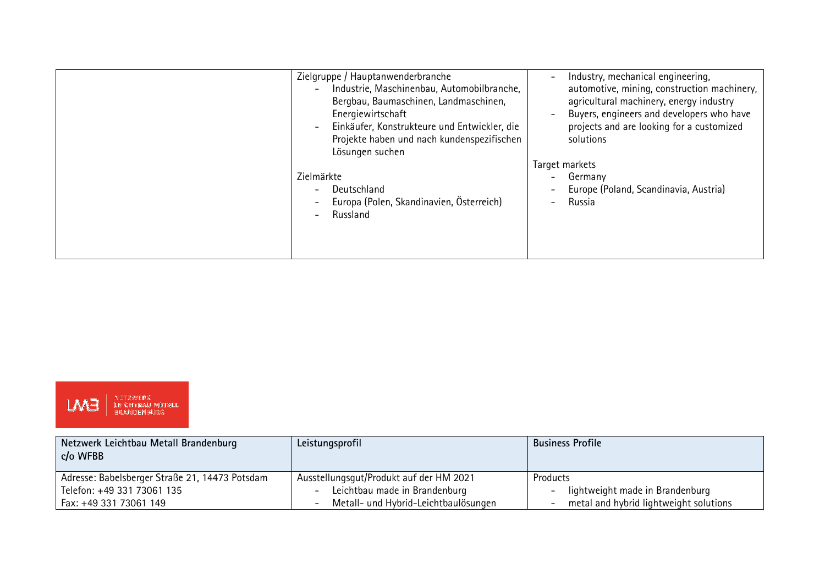| Zielgruppe / Hauptanwenderbranche<br>Industrie, Maschinenbau, Automobilbranche,<br>Bergbau, Baumaschinen, Landmaschinen,<br>Energiewirtschaft<br>Einkäufer, Konstrukteure und Entwickler, die<br>Projekte haben und nach kundenspezifischen<br>Lösungen suchen | Industry, mechanical engineering,<br>automotive, mining, construction machinery,<br>agricultural machinery, energy industry<br>Buyers, engineers and developers who have<br>projects and are looking for a customized<br>solutions |
|----------------------------------------------------------------------------------------------------------------------------------------------------------------------------------------------------------------------------------------------------------------|------------------------------------------------------------------------------------------------------------------------------------------------------------------------------------------------------------------------------------|
| Zielmärkte<br>Deutschland<br>$\qquad \qquad$<br>Europa (Polen, Skandinavien, Österreich)<br>Russland                                                                                                                                                           | Target markets<br>Germany<br>Europe (Poland, Scandinavia, Austria)<br>Russia                                                                                                                                                       |



| Netzwerk Leichtbau Metall Brandenburg<br>c/o WFBB | Leistungsprofil                                           | <b>Business Profile</b>                                     |
|---------------------------------------------------|-----------------------------------------------------------|-------------------------------------------------------------|
| Adresse: Babelsberger Straße 21, 14473 Potsdam    | Ausstellungsgut/Produkt auf der HM 2021                   | Products                                                    |
| Telefon: +49 331 73061 135                        | Leichtbau made in Brandenburg<br>$\overline{\phantom{a}}$ | lightweight made in Brandenburg<br>$\overline{\phantom{a}}$ |
| Fax: +49 331 73061 149                            | Metall- und Hybrid-Leichtbaulösungen                      | metal and hybrid lightweight solutions                      |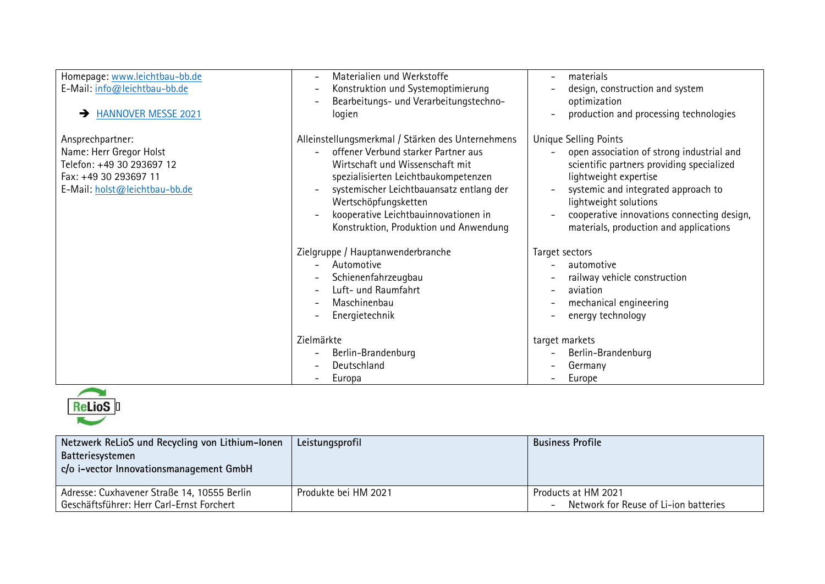| Homepage: www.leichtbau-bb.de<br>E-Mail: info@leichtbau-bb.de<br><b>HANNOVER MESSE 2021</b><br>$\rightarrow$                       | Materialien und Werkstoffe<br>$\overline{\phantom{0}}$<br>Konstruktion und Systemoptimierung<br>$\overline{\phantom{a}}$<br>Bearbeitungs- und Verarbeitungstechno-<br>logien                                                                                                                                                                          | materials<br>design, construction and system<br>optimization<br>production and processing technologies                                                                                                                                                                                                                              |
|------------------------------------------------------------------------------------------------------------------------------------|-------------------------------------------------------------------------------------------------------------------------------------------------------------------------------------------------------------------------------------------------------------------------------------------------------------------------------------------------------|-------------------------------------------------------------------------------------------------------------------------------------------------------------------------------------------------------------------------------------------------------------------------------------------------------------------------------------|
| Ansprechpartner:<br>Name: Herr Gregor Holst<br>Telefon: +49 30 293697 12<br>Fax: +49 30 293697 11<br>E-Mail: holst@leichtbau-bb.de | Alleinstellungsmerkmal / Stärken des Unternehmens<br>offener Verbund starker Partner aus<br>Wirtschaft und Wissenschaft mit<br>spezialisierten Leichtbaukompetenzen<br>systemischer Leichtbauansatz entlang der<br>$\overline{\phantom{a}}$<br>Wertschöpfungsketten<br>kooperative Leichtbauinnovationen in<br>Konstruktion, Produktion und Anwendung | <b>Unique Selling Points</b><br>open association of strong industrial and<br>$\overline{\phantom{0}}$<br>scientific partners providing specialized<br>lightweight expertise<br>systemic and integrated approach to<br>lightweight solutions<br>cooperative innovations connecting design,<br>materials, production and applications |
|                                                                                                                                    | Zielgruppe / Hauptanwenderbranche<br>Automotive<br>Schienenfahrzeugbau<br>$\qquad \qquad -$<br>Luft- und Raumfahrt<br>$\overline{\phantom{a}}$<br>Maschinenbau<br>$\overline{\phantom{a}}$<br>Energietechnik                                                                                                                                          | Target sectors<br>automotive<br>railway vehicle construction<br>aviation<br>mechanical engineering<br>energy technology                                                                                                                                                                                                             |
|                                                                                                                                    | Zielmärkte<br>Berlin-Brandenburg<br>$\qquad \qquad$<br>Deutschland<br>$\overline{\phantom{0}}$<br>Europa<br>$\overline{\phantom{m}}$                                                                                                                                                                                                                  | target markets<br>Berlin-Brandenburg<br>Germany<br>Europe                                                                                                                                                                                                                                                                           |



| Produkte bei HM 2021 | Products at HM 2021<br>Network for Reuse of Li-ion batteries |
|----------------------|--------------------------------------------------------------|
|                      |                                                              |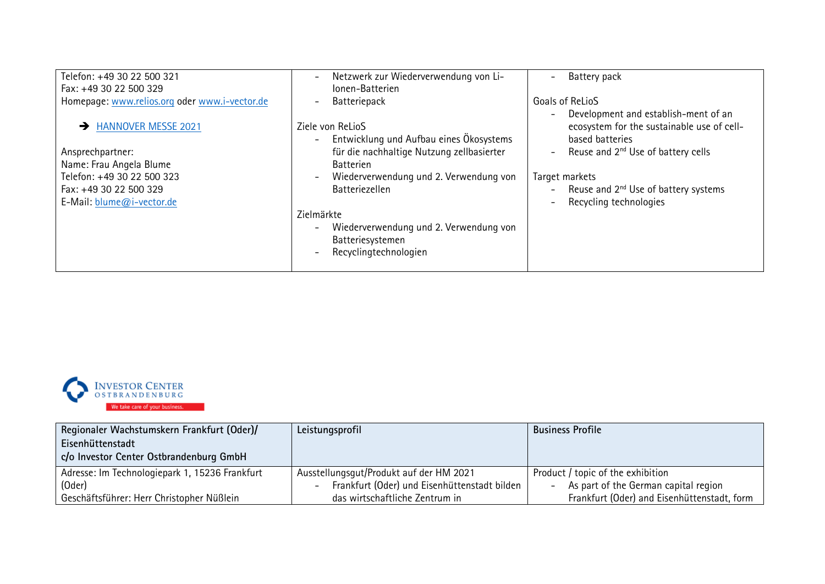| Telefon: +49 30 22 500 321                          | Netzwerk zur Wiederverwendung von Li-<br>$\overline{\phantom{a}}$                                                                           | Battery pack                                                                                          |
|-----------------------------------------------------|---------------------------------------------------------------------------------------------------------------------------------------------|-------------------------------------------------------------------------------------------------------|
| Fax: +49 30 22 500 329                              | Ionen-Batterien                                                                                                                             |                                                                                                       |
| Homepage: www.relios.org oder www.i-vector.de       | Batteriepack<br>$\overline{\phantom{a}}$                                                                                                    | Goals of ReLioS                                                                                       |
| A HANNOVER MESSE 2021                               | Ziele von ReLioS<br>Entwicklung und Aufbau eines Ökosystems<br>$\overline{\phantom{a}}$                                                     | Development and establish-ment of an<br>ecosystem for the sustainable use of cell-<br>based batteries |
| Ansprechpartner:                                    | für die nachhaltige Nutzung zellbasierter                                                                                                   | Reuse and 2 <sup>nd</sup> Use of battery cells<br>$\overline{\phantom{0}}$                            |
| Name: Frau Angela Blume                             | <b>Batterien</b>                                                                                                                            |                                                                                                       |
| Telefon: +49 30 22 500 323                          | Wiederverwendung und 2. Verwendung von<br>$\overline{\phantom{a}}$                                                                          | Target markets                                                                                        |
| Fax: +49 30 22 500 329<br>E-Mail: blume@i-vector.de | <b>Batteriezellen</b>                                                                                                                       | Reuse and 2 <sup>nd</sup> Use of battery systems<br>Recycling technologies                            |
|                                                     | Zielmärkte                                                                                                                                  |                                                                                                       |
|                                                     | Wiederverwendung und 2. Verwendung von<br>$\overline{\phantom{a}}$<br>Batteriesystemen<br>Recyclingtechnologien<br>$\overline{\phantom{a}}$ |                                                                                                       |



| Regionaler Wachstumskern Frankfurt (Oder)/     | Leistungsprofil                              | <b>Business Profile</b>                                          |
|------------------------------------------------|----------------------------------------------|------------------------------------------------------------------|
| Eisenhüttenstadt                               |                                              |                                                                  |
| c/o Investor Center Ostbrandenburg GmbH        |                                              |                                                                  |
| Adresse: Im Technologiepark 1, 15236 Frankfurt | Ausstellungsgut/Produkt auf der HM 2021      | Product / topic of the exhibition                                |
| (0 <sub>der</sub> )                            | Frankfurt (Oder) und Eisenhüttenstadt bilden | As part of the German capital region<br>$\overline{\phantom{a}}$ |
| Geschäftsführer: Herr Christopher Nüßlein      | das wirtschaftliche Zentrum in               | Frankfurt (Oder) and Eisenhüttenstadt, form                      |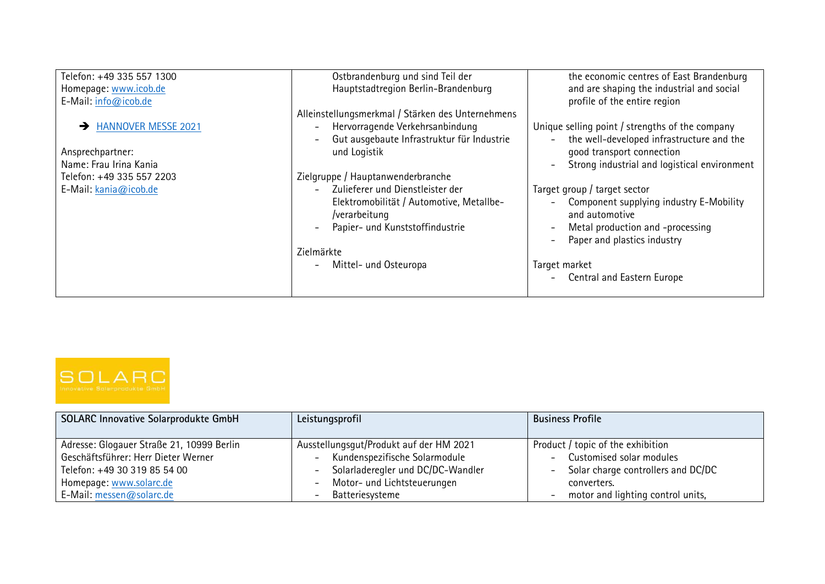| Telefon: +49 335 557 1300 | Ostbrandenburg und sind Teil der                             | the economic centres of East Brandenburg                                 |
|---------------------------|--------------------------------------------------------------|--------------------------------------------------------------------------|
| Homepage: www.icob.de     | Hauptstadtregion Berlin-Brandenburg                          | and are shaping the industrial and social                                |
| E-Mail: info@icob.de      |                                                              | profile of the entire region                                             |
|                           | Alleinstellungsmerkmal / Stärken des Unternehmens            |                                                                          |
| A HANNOVER MESSE 2021     | Hervorragende Verkehrsanbindung                              | Unique selling point / strengths of the company                          |
|                           | Gut ausgebaute Infrastruktur für Industrie                   | the well-developed infrastructure and the<br>$\overline{\phantom{a}}$    |
| Ansprechpartner:          | und Logistik                                                 | good transport connection                                                |
| Name: Frau Irina Kania    |                                                              | Strong industrial and logistical environment<br>$\overline{\phantom{0}}$ |
| Telefon: +49 335 557 2203 | Zielgruppe / Hauptanwenderbranche                            |                                                                          |
| E-Mail: kania@icob.de     | Zulieferer und Dienstleister der<br>$\overline{\phantom{0}}$ | Target group / target sector                                             |
|                           | Elektromobilität / Automotive, Metallbe-                     | Component supplying industry E-Mobility<br>$\overline{\phantom{0}}$      |
|                           | /verarbeitung                                                | and automotive                                                           |
|                           | Papier- und Kunststoffindustrie                              | Metal production and -processing<br>$\overline{\phantom{0}}$             |
|                           |                                                              | Paper and plastics industry<br>$\overline{\phantom{0}}$                  |
|                           | Zielmärkte                                                   |                                                                          |
|                           | Mittel- und Osteuropa<br>$\overline{\phantom{a}}$            | Target market                                                            |
|                           |                                                              | <b>Central and Eastern Europe</b><br>$\overline{\phantom{0}}$            |
|                           |                                                              |                                                                          |



| <b>SOLARC Innovative Solarprodukte GmbH</b>                                                                                                                             | Leistungsprofil                                                                                                                                                          | <b>Business Profile</b>                                                                                                                                                                                                                     |
|-------------------------------------------------------------------------------------------------------------------------------------------------------------------------|--------------------------------------------------------------------------------------------------------------------------------------------------------------------------|---------------------------------------------------------------------------------------------------------------------------------------------------------------------------------------------------------------------------------------------|
| Adresse: Glogauer Straße 21, 10999 Berlin<br>Geschäftsführer: Herr Dieter Werner<br>Telefon: +49 30 319 85 54 00<br>Homepage: www.solarc.de<br>E-Mail: messen@solarc.de | Ausstellungsgut/Produkt auf der HM 2021<br>Kundenspezifische Solarmodule<br>$ \,$<br>Solarladeregler und DC/DC-Wandler<br>Motor- und Lichtsteuerungen<br>Batteriesysteme | Product / topic of the exhibition<br>Customised solar modules<br>$\overline{\phantom{0}}$<br>Solar charge controllers and DC/DC<br>$\overline{\phantom{0}}$<br>converters.<br>motor and lighting control units,<br>$\overline{\phantom{a}}$ |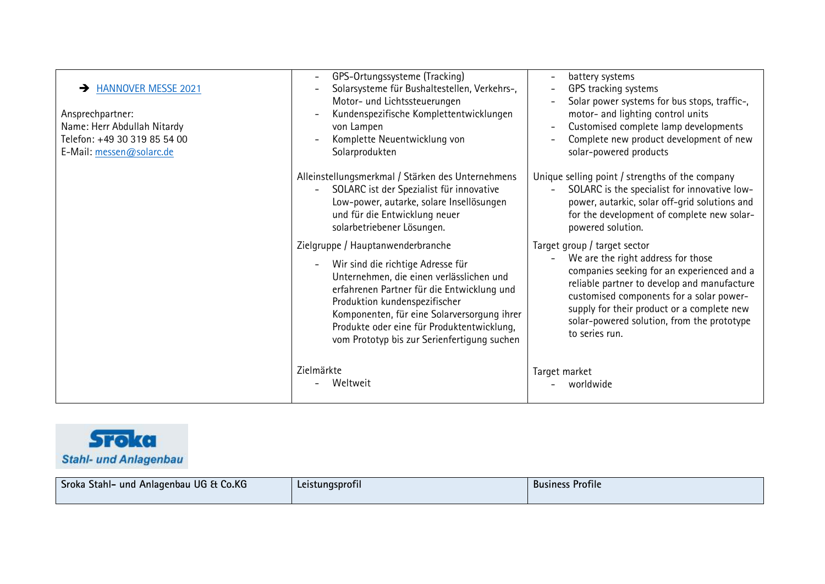| <b>HANNOVER MESSE 2021</b><br>$\rightarrow$<br>Ansprechpartner:<br>Name: Herr Abdullah Nitardy<br>Telefon: +49 30 319 85 54 00<br>E-Mail: messen@solarc.de | GPS-Ortungssysteme (Tracking)<br>$\overline{a}$<br>Solarsysteme für Bushaltestellen, Verkehrs-,<br>$\overline{\phantom{0}}$<br>Motor- und Lichtssteuerungen<br>Kundenspezifische Komplettentwicklungen<br>$\overline{\phantom{0}}$<br>von Lampen<br>Komplette Neuentwicklung von<br>Solarprodukten                                                              | battery systems<br>$\overline{\phantom{a}}$<br>GPS tracking systems<br>$\overline{\phantom{a}}$<br>Solar power systems for bus stops, traffic-,<br>$\overline{a}$<br>motor- and lighting control units<br>Customised complete lamp developments<br>$\overline{\phantom{0}}$<br>Complete new product development of new<br>$\overline{\phantom{0}}$<br>solar-powered products |
|------------------------------------------------------------------------------------------------------------------------------------------------------------|-----------------------------------------------------------------------------------------------------------------------------------------------------------------------------------------------------------------------------------------------------------------------------------------------------------------------------------------------------------------|------------------------------------------------------------------------------------------------------------------------------------------------------------------------------------------------------------------------------------------------------------------------------------------------------------------------------------------------------------------------------|
|                                                                                                                                                            | Alleinstellungsmerkmal / Stärken des Unternehmens<br>SOLARC ist der Spezialist für innovative<br>Low-power, autarke, solare Insellösungen<br>und für die Entwicklung neuer<br>solarbetriebener Lösungen.                                                                                                                                                        | Unique selling point / strengths of the company<br>SOLARC is the specialist for innovative low-<br>power, autarkic, solar off-grid solutions and<br>for the development of complete new solar-<br>powered solution.                                                                                                                                                          |
|                                                                                                                                                            | Zielgruppe / Hauptanwenderbranche<br>Wir sind die richtige Adresse für<br>$\overline{a}$<br>Unternehmen, die einen verlässlichen und<br>erfahrenen Partner für die Entwicklung und<br>Produktion kundenspezifischer<br>Komponenten, für eine Solarversorgung ihrer<br>Produkte oder eine für Produktentwicklung,<br>vom Prototyp bis zur Serienfertigung suchen | Target group / target sector<br>We are the right address for those<br>$\overline{\phantom{0}}$<br>companies seeking for an experienced and a<br>reliable partner to develop and manufacture<br>customised components for a solar power-<br>supply for their product or a complete new<br>solar-powered solution, from the prototype<br>to series run.                        |
|                                                                                                                                                            | Zielmärkte<br>Weltweit                                                                                                                                                                                                                                                                                                                                          | Target market<br>worldwide                                                                                                                                                                                                                                                                                                                                                   |



| Sroka Stahl- und Anlagenbau UG & Co.KG | Leistungsprofil | <b>Business Profile</b> |
|----------------------------------------|-----------------|-------------------------|
|----------------------------------------|-----------------|-------------------------|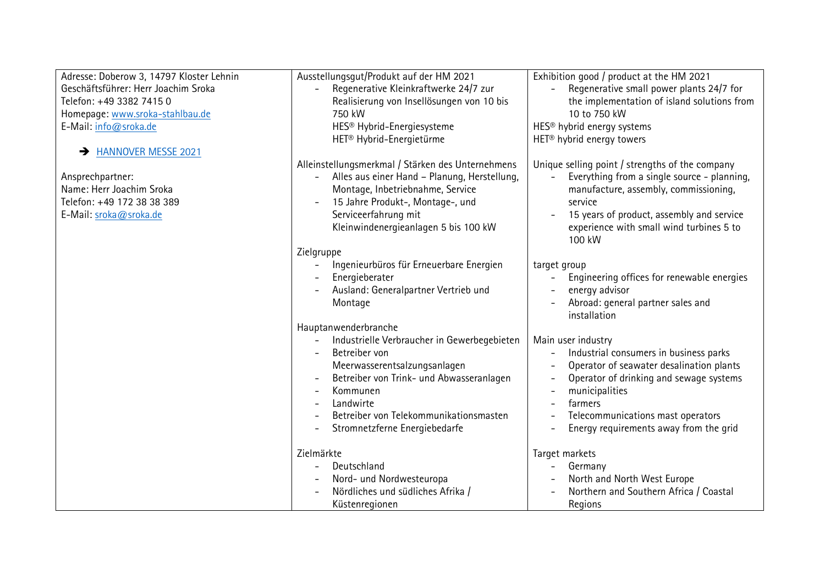| Adresse: Doberow 3, 14797 Kloster Lehnin | Ausstellungsgut/Produkt auf der HM 2021                              | Exhibition good / product at the HM 2021                                |
|------------------------------------------|----------------------------------------------------------------------|-------------------------------------------------------------------------|
| Geschäftsführer: Herr Joachim Sroka      | Regenerative Kleinkraftwerke 24/7 zur                                | Regenerative small power plants 24/7 for<br>$\equiv$                    |
| Telefon: +49 3382 7415 0                 | Realisierung von Insellösungen von 10 bis                            | the implementation of island solutions from                             |
| Homepage: www.sroka-stahlbau.de          | 750 kW                                                               | 10 to 750 kW                                                            |
| E-Mail: info@sroka.de                    | HES <sup>®</sup> Hybrid-Energiesysteme                               | HES <sup>®</sup> hybrid energy systems                                  |
|                                          | HET <sup>®</sup> Hybrid-Energietürme                                 | HET <sup>®</sup> hybrid energy towers                                   |
| A HANNOVER MESSE 2021                    |                                                                      |                                                                         |
|                                          | Alleinstellungsmerkmal / Stärken des Unternehmens                    | Unique selling point / strengths of the company                         |
| Ansprechpartner:                         | Alles aus einer Hand - Planung, Herstellung,                         | Everything from a single source - planning,<br>$\overline{\phantom{a}}$ |
| Name: Herr Joachim Sroka                 | Montage, Inbetriebnahme, Service                                     | manufacture, assembly, commissioning,                                   |
| Telefon: +49 172 38 38 389               | 15 Jahre Produkt-, Montage-, und                                     | service                                                                 |
| E-Mail: sroka@sroka.de                   | Serviceerfahrung mit                                                 | 15 years of product, assembly and service                               |
|                                          | Kleinwindenergieanlagen 5 bis 100 kW                                 | experience with small wind turbines 5 to                                |
|                                          |                                                                      | 100 kW                                                                  |
|                                          | Zielgruppe                                                           |                                                                         |
|                                          | Ingenieurbüros für Erneuerbare Energien                              | target group                                                            |
|                                          | Energieberater                                                       | Engineering offices for renewable energies<br>$\overline{\phantom{a}}$  |
|                                          | Ausland: Generalpartner Vertrieb und                                 | energy advisor                                                          |
|                                          | Montage                                                              | Abroad: general partner sales and                                       |
|                                          |                                                                      | installation                                                            |
|                                          | Hauptanwenderbranche                                                 |                                                                         |
|                                          | Industrielle Verbraucher in Gewerbegebieten                          | Main user industry                                                      |
|                                          | Betreiber von                                                        | Industrial consumers in business parks<br>$\overline{\phantom{a}}$      |
|                                          | Meerwasserentsalzungsanlagen                                         | Operator of seawater desalination plants                                |
|                                          | Betreiber von Trink- und Abwasseranlagen<br>$\overline{\phantom{a}}$ | Operator of drinking and sewage systems<br>$\overline{\phantom{0}}$     |
|                                          | Kommunen                                                             | municipalities<br>$\qquad \qquad -$                                     |
|                                          | Landwirte                                                            | farmers                                                                 |
|                                          | Betreiber von Telekommunikationsmasten                               | Telecommunications mast operators                                       |
|                                          | Stromnetzferne Energiebedarfe                                        | Energy requirements away from the grid                                  |
|                                          |                                                                      |                                                                         |
|                                          | Zielmärkte                                                           | Target markets                                                          |
|                                          | Deutschland                                                          | Germany                                                                 |
|                                          | Nord- und Nordwesteuropa                                             | North and North West Europe                                             |
|                                          | Nördliches und südliches Afrika /                                    | Northern and Southern Africa / Coastal                                  |
|                                          | Küstenregionen                                                       | Regions                                                                 |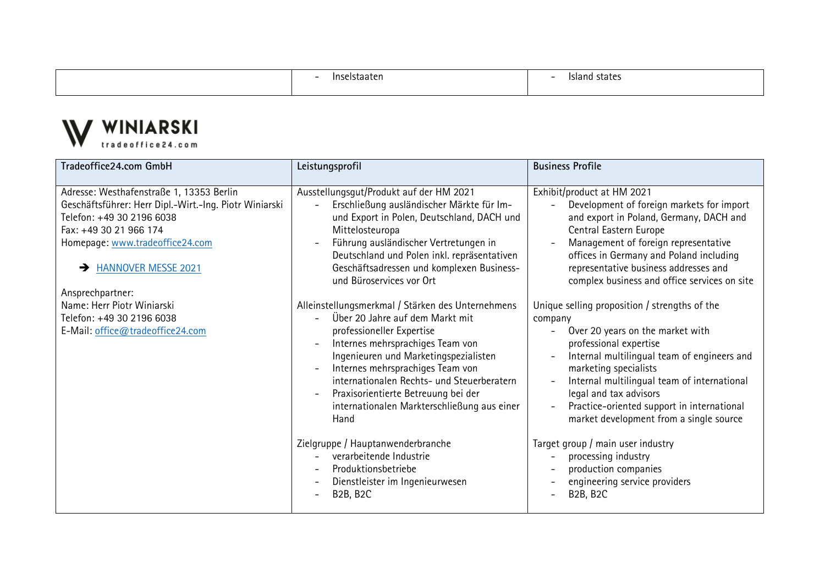- Inselstaaten

- Island states



| Tradeoffice24.com GmbH                                                                                                                                                                                                                                          | Leistungsprofil                                                                                                                                                                                                                                                                                                                                                                | <b>Business Profile</b>                                                                                                                                                                                                                                                                                                                                                                                           |
|-----------------------------------------------------------------------------------------------------------------------------------------------------------------------------------------------------------------------------------------------------------------|--------------------------------------------------------------------------------------------------------------------------------------------------------------------------------------------------------------------------------------------------------------------------------------------------------------------------------------------------------------------------------|-------------------------------------------------------------------------------------------------------------------------------------------------------------------------------------------------------------------------------------------------------------------------------------------------------------------------------------------------------------------------------------------------------------------|
| Adresse: Westhafenstraße 1, 13353 Berlin<br>Geschäftsführer: Herr Dipl.-Wirt.-Ing. Piotr Winiarski<br>Telefon: +49 30 2196 6038<br>Fax: +49 30 21 966 174<br>Homepage: www.tradeoffice24.com<br><b>HANNOVER MESSE 2021</b><br>$\rightarrow$<br>Ansprechpartner: | Ausstellungsgut/Produkt auf der HM 2021<br>Erschließung ausländischer Märkte für Im-<br>und Export in Polen, Deutschland, DACH und<br>Mittelosteuropa<br>Führung ausländischer Vertretungen in<br>Deutschland und Polen inkl. repräsentativen<br>Geschäftsadressen und komplexen Business-<br>und Büroservices vor Ort                                                         | Exhibit/product at HM 2021<br>Development of foreign markets for import<br>and export in Poland, Germany, DACH and<br>Central Eastern Europe<br>Management of foreign representative<br>$\overline{a}$<br>offices in Germany and Poland including<br>representative business addresses and<br>complex business and office services on site                                                                        |
| Name: Herr Piotr Winiarski<br>Telefon: +49 30 2196 6038<br>E-Mail: office@tradeoffice24.com                                                                                                                                                                     | Alleinstellungsmerkmal / Stärken des Unternehmens<br>Über 20 Jahre auf dem Markt mit<br>professioneller Expertise<br>Internes mehrsprachiges Team von<br>Ingenieuren und Marketingspezialisten<br>Internes mehrsprachiges Team von<br>internationalen Rechts- und Steuerberatern<br>Praxisorientierte Betreuung bei der<br>internationalen Markterschließung aus einer<br>Hand | Unique selling proposition / strengths of the<br>company<br>Over 20 years on the market with<br>professional expertise<br>Internal multilingual team of engineers and<br>$\overline{\phantom{a}}$<br>marketing specialists<br>Internal multilingual team of international<br>$\qquad \qquad -$<br>legal and tax advisors<br>Practice-oriented support in international<br>market development from a single source |
|                                                                                                                                                                                                                                                                 | Zielgruppe / Hauptanwenderbranche<br>verarbeitende Industrie<br>Produktionsbetriebe<br>Dienstleister im Ingenieurwesen<br><b>B2B, B2C</b>                                                                                                                                                                                                                                      | Target group / main user industry<br>processing industry<br>$\overline{\phantom{a}}$<br>production companies<br>engineering service providers<br><b>B2B, B2C</b><br>$\overline{\phantom{a}}$                                                                                                                                                                                                                      |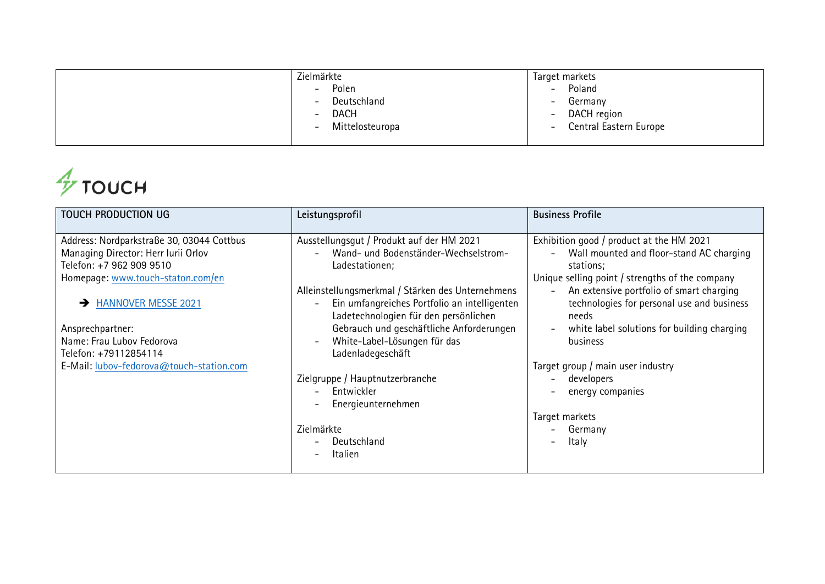| Zielmärkte                                  | Target markets                                     |
|---------------------------------------------|----------------------------------------------------|
| Polen<br>$\overline{\phantom{0}}$           | Poland<br>$-$                                      |
| Deutschland<br>$\overline{\phantom{a}}$     | Germany<br>$\overline{\phantom{0}}$                |
| <b>DACH</b><br>$\overline{\phantom{0}}$     | DACH region<br>$\overline{\phantom{a}}$            |
| Mittelosteuropa<br>$\overline{\phantom{m}}$ | Central Eastern Europe<br>$\overline{\phantom{m}}$ |
|                                             |                                                    |

## $\frac{A}{\gamma}$ тоисн

| TOUCH PRODUCTION UG                       | Leistungsprofil                                                                                                                            | <b>Business Profile</b>                                                                                                     |
|-------------------------------------------|--------------------------------------------------------------------------------------------------------------------------------------------|-----------------------------------------------------------------------------------------------------------------------------|
| Address: Nordparkstraße 30, 03044 Cottbus | Ausstellungsgut / Produkt auf der HM 2021                                                                                                  | Exhibition good / product at the HM 2021                                                                                    |
| Managing Director: Herr Iurii Orlov       | Wand- und Bodenständer-Wechselstrom-                                                                                                       | Wall mounted and floor-stand AC charging                                                                                    |
| Telefon: +7 962 909 9510                  | Ladestationen;                                                                                                                             | stations;                                                                                                                   |
| Homepage: www.touch-staton.com/en         |                                                                                                                                            | Unique selling point / strengths of the company                                                                             |
| <b>HANNOVER MESSE 2021</b>                | Alleinstellungsmerkmal / Stärken des Unternehmens<br>Ein umfangreiches Portfolio an intelligenten<br>Ladetechnologien für den persönlichen | An extensive portfolio of smart charging<br>$\overline{\phantom{a}}$<br>technologies for personal use and business<br>needs |
| Ansprechpartner:                          | Gebrauch und geschäftliche Anforderungen                                                                                                   | white label solutions for building charging                                                                                 |
| Name: Frau Lubov Fedorova                 | White-Label-Lösungen für das<br>$\overline{a}$                                                                                             | business                                                                                                                    |
| Telefon: +79112854114                     | Ladenladegeschäft                                                                                                                          |                                                                                                                             |
| E-Mail: lubov-fedorova@touch-station.com  |                                                                                                                                            | Target group / main user industry                                                                                           |
|                                           | Zielgruppe / Hauptnutzerbranche                                                                                                            | developers<br>$\overline{\phantom{0}}$                                                                                      |
|                                           | Entwickler<br>$\overline{\phantom{a}}$                                                                                                     | energy companies                                                                                                            |
|                                           | Energieunternehmen                                                                                                                         |                                                                                                                             |
|                                           |                                                                                                                                            | Target markets                                                                                                              |
|                                           | Zielmärkte                                                                                                                                 | Germany                                                                                                                     |
|                                           | Deutschland                                                                                                                                | Italy                                                                                                                       |
|                                           | Italien<br>$\overline{\phantom{0}}$                                                                                                        |                                                                                                                             |
|                                           |                                                                                                                                            |                                                                                                                             |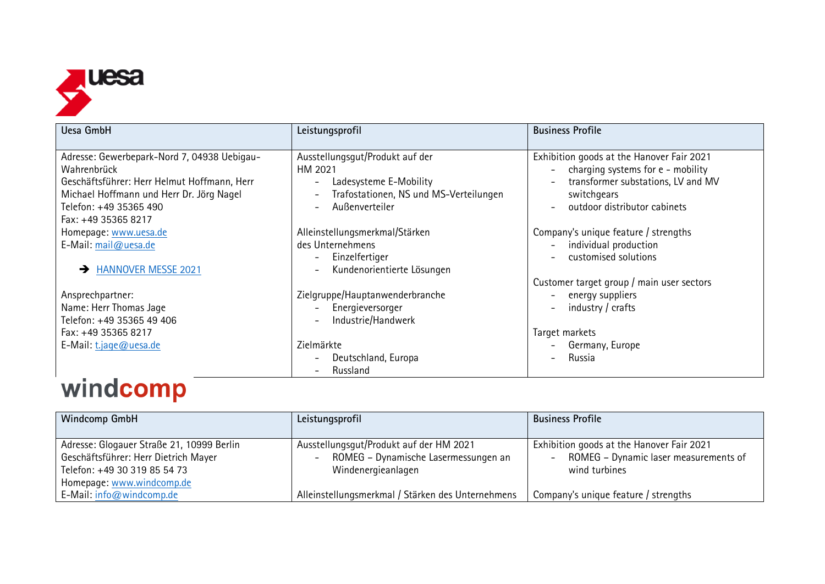

| Uesa GmbH                                                                                                                                                                       | Leistungsprofil                                                                                                                                            | <b>Business Profile</b>                                                                                                                                                                                                                                 |
|---------------------------------------------------------------------------------------------------------------------------------------------------------------------------------|------------------------------------------------------------------------------------------------------------------------------------------------------------|---------------------------------------------------------------------------------------------------------------------------------------------------------------------------------------------------------------------------------------------------------|
| Adresse: Gewerbepark-Nord 7, 04938 Uebigau-<br>Wahrenbrück<br>Geschäftsführer: Herr Helmut Hoffmann, Herr<br>Michael Hoffmann und Herr Dr. Jörg Nagel<br>Telefon: +49 35365 490 | Ausstellungsgut/Produkt auf der<br>HM 2021<br>Ladesysteme E-Mobility<br>Trafostationen, NS und MS-Verteilungen<br>Außenverteiler                           | Exhibition goods at the Hanover Fair 2021<br>charging systems for e - mobility<br>$\overline{\phantom{a}}$<br>transformer substations, LV and MV<br>$\overline{\phantom{0}}$<br>switchgears<br>outdoor distributor cabinets<br>$\overline{\phantom{0}}$ |
| Fax: +49 35365 8217<br>Homepage: www.uesa.de<br>E-Mail: mail@uesa.de<br><b>HANNOVER MESSE 2021</b><br>$\rightarrow$                                                             | Alleinstellungsmerkmal/Stärken<br>des Unternehmens<br>Einzelfertiger<br>$\overline{\phantom{0}}$<br>Kundenorientierte Lösungen<br>$\overline{\phantom{0}}$ | Company's unique feature / strengths<br>individual production<br>$\overline{\phantom{0}}$<br>customised solutions<br>Customer target group / main user sectors                                                                                          |
| Ansprechpartner:<br>Name: Herr Thomas Jage<br>Telefon: +49 35365 49 406<br>Fax: +49 35365 8217                                                                                  | Zielgruppe/Hauptanwenderbranche<br>Energieversorger<br>Industrie/Handwerk                                                                                  | energy suppliers<br>$\overline{\phantom{0}}$<br>industry / crafts<br>$\overline{\phantom{0}}$                                                                                                                                                           |
| E-Mail: $t$ . jage@uesa.de                                                                                                                                                      | Zielmärkte<br>Deutschland, Europa<br>Russland                                                                                                              | Target markets<br>Germany, Europe<br>Russia                                                                                                                                                                                                             |

## windcomp

| <b>Windcomp GmbH</b>                                                                                                                           | Leistungsprofil                                                                                       | <b>Business Profile</b>                                                                                                         |
|------------------------------------------------------------------------------------------------------------------------------------------------|-------------------------------------------------------------------------------------------------------|---------------------------------------------------------------------------------------------------------------------------------|
| Adresse: Glogauer Straße 21, 10999 Berlin<br>Geschäftsführer: Herr Dietrich Mayer<br>Telefon: +49 30 319 85 54 73<br>Homepage: www.windcomp.de | Ausstellungsgut/Produkt auf der HM 2021<br>ROMEG - Dynamische Lasermessungen an<br>Windenergieanlagen | Exhibition goods at the Hanover Fair 2021<br>ROMEG - Dynamic laser measurements of<br>$\overline{\phantom{0}}$<br>wind turbines |
| E-Mail: info@windcomp.de                                                                                                                       | Alleinstellungsmerkmal / Stärken des Unternehmens                                                     | Company's unique feature / strengths                                                                                            |